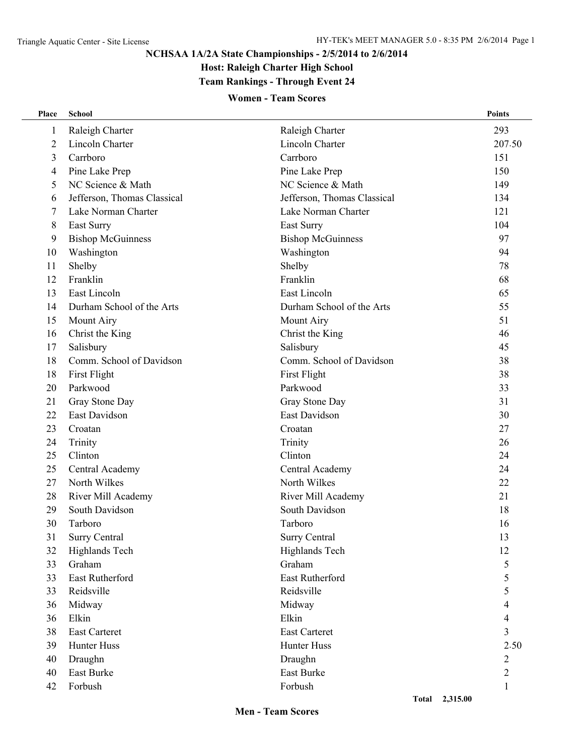#### **NCHSAA 1A/2A State Championships - 2/5/2014 to 2/6/2014**

**Host: Raleigh Charter High School**

# **Team Rankings - Through Event 24**

#### **Women - Team Scores**

| Place          | <b>School</b>               |                             | <b>Points</b> |
|----------------|-----------------------------|-----------------------------|---------------|
| 1              | Raleigh Charter             | Raleigh Charter             | 293           |
| $\overline{2}$ | <b>Lincoln Charter</b>      | Lincoln Charter             | 207.50        |
| 3              | Carrboro                    | Carrboro                    | 151           |
| 4              | Pine Lake Prep              | Pine Lake Prep              | 150           |
| 5              | NC Science & Math           | NC Science & Math           | 149           |
| 6              | Jefferson, Thomas Classical | Jefferson, Thomas Classical | 134           |
| 7              | Lake Norman Charter         | Lake Norman Charter         | 121           |
| 8              | East Surry                  | East Surry                  | 104           |
| 9              | <b>Bishop McGuinness</b>    | <b>Bishop McGuinness</b>    | 97            |
| 10             | Washington                  | Washington                  | 94            |
| 11             | Shelby                      | Shelby                      | 78            |
| 12             | Franklin                    | Franklin                    | 68            |
| 13             | East Lincoln                | East Lincoln                | 65            |
| 14             | Durham School of the Arts   | Durham School of the Arts   | 55            |
| 15             | Mount Airy                  | Mount Airy                  | 51            |
| 16             | Christ the King             | Christ the King             | 46            |
| 17             | Salisbury                   | Salisbury                   | 45            |
| 18             | Comm. School of Davidson    | Comm. School of Davidson    | 38            |
| 18             | First Flight                | First Flight                | 38            |
| 20             | Parkwood                    | Parkwood                    | 33            |
| 21             | Gray Stone Day              | Gray Stone Day              | 31            |
| 22             | East Davidson               | East Davidson               | 30            |
| 23             | Croatan                     | Croatan                     | 27            |
| 24             | Trinity                     | Trinity                     | 26            |
| 25             | Clinton                     | Clinton                     | 24            |
| 25             | Central Academy             | Central Academy             | 24            |
| 27             | North Wilkes                | North Wilkes                | 22            |
| 28             | River Mill Academy          | River Mill Academy          | 21            |
| 29             | South Davidson              | South Davidson              | 18            |
| 30             | Tarboro                     | Tarboro                     | 16            |
| 31             | <b>Surry Central</b>        | <b>Surry Central</b>        | 13            |
| 32             | Highlands Tech              | Highlands Tech              | 12            |
| 33             | Graham                      | Graham                      | 5             |
| 33             | East Rutherford             | East Rutherford             | 5             |
| 33             | Reidsville                  | Reidsville                  | 5             |
| 36             | Midway                      | Midway                      | 4             |
| 36             | Elkin                       | Elkin                       | 4             |
| 38             | <b>East Carteret</b>        | East Carteret               | 3             |
| 39             | Hunter Huss                 | Hunter Huss                 | 2.50          |
| 40             | Draughn                     | Draughn                     | 2             |
| 40             | East Burke                  | East Burke                  | 2             |
| 42             | Forbush                     | Forbush                     | 1             |
|                |                             | Total 2,315.00              |               |